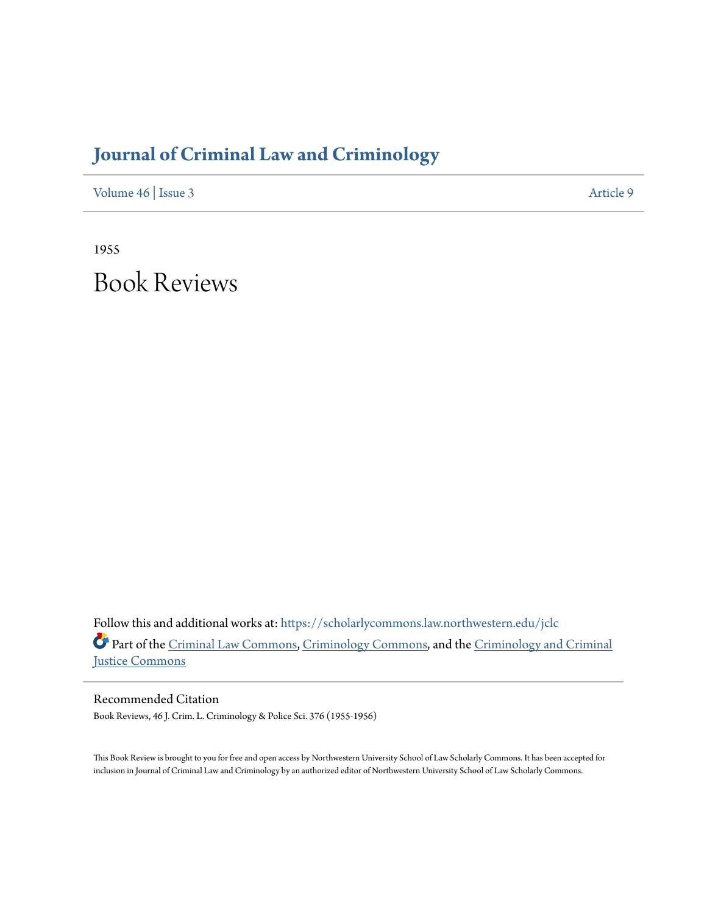## **[Journal of Criminal Law and Criminology](https://scholarlycommons.law.northwestern.edu/jclc?utm_source=scholarlycommons.law.northwestern.edu%2Fjclc%2Fvol46%2Fiss3%2F9&utm_medium=PDF&utm_campaign=PDFCoverPages)**

[Volume 46](https://scholarlycommons.law.northwestern.edu/jclc/vol46?utm_source=scholarlycommons.law.northwestern.edu%2Fjclc%2Fvol46%2Fiss3%2F9&utm_medium=PDF&utm_campaign=PDFCoverPages) | [Issue 3](https://scholarlycommons.law.northwestern.edu/jclc/vol46/iss3?utm_source=scholarlycommons.law.northwestern.edu%2Fjclc%2Fvol46%2Fiss3%2F9&utm_medium=PDF&utm_campaign=PDFCoverPages) [Article 9](https://scholarlycommons.law.northwestern.edu/jclc/vol46/iss3/9?utm_source=scholarlycommons.law.northwestern.edu%2Fjclc%2Fvol46%2Fiss3%2F9&utm_medium=PDF&utm_campaign=PDFCoverPages)

1955 Book Reviews

Follow this and additional works at: [https://scholarlycommons.law.northwestern.edu/jclc](https://scholarlycommons.law.northwestern.edu/jclc?utm_source=scholarlycommons.law.northwestern.edu%2Fjclc%2Fvol46%2Fiss3%2F9&utm_medium=PDF&utm_campaign=PDFCoverPages) Part of the [Criminal Law Commons](http://network.bepress.com/hgg/discipline/912?utm_source=scholarlycommons.law.northwestern.edu%2Fjclc%2Fvol46%2Fiss3%2F9&utm_medium=PDF&utm_campaign=PDFCoverPages), [Criminology Commons](http://network.bepress.com/hgg/discipline/417?utm_source=scholarlycommons.law.northwestern.edu%2Fjclc%2Fvol46%2Fiss3%2F9&utm_medium=PDF&utm_campaign=PDFCoverPages), and the [Criminology and Criminal](http://network.bepress.com/hgg/discipline/367?utm_source=scholarlycommons.law.northwestern.edu%2Fjclc%2Fvol46%2Fiss3%2F9&utm_medium=PDF&utm_campaign=PDFCoverPages) [Justice Commons](http://network.bepress.com/hgg/discipline/367?utm_source=scholarlycommons.law.northwestern.edu%2Fjclc%2Fvol46%2Fiss3%2F9&utm_medium=PDF&utm_campaign=PDFCoverPages)

Recommended Citation Book Reviews, 46 J. Crim. L. Criminology & Police Sci. 376 (1955-1956)

This Book Review is brought to you for free and open access by Northwestern University School of Law Scholarly Commons. It has been accepted for inclusion in Journal of Criminal Law and Criminology by an authorized editor of Northwestern University School of Law Scholarly Commons.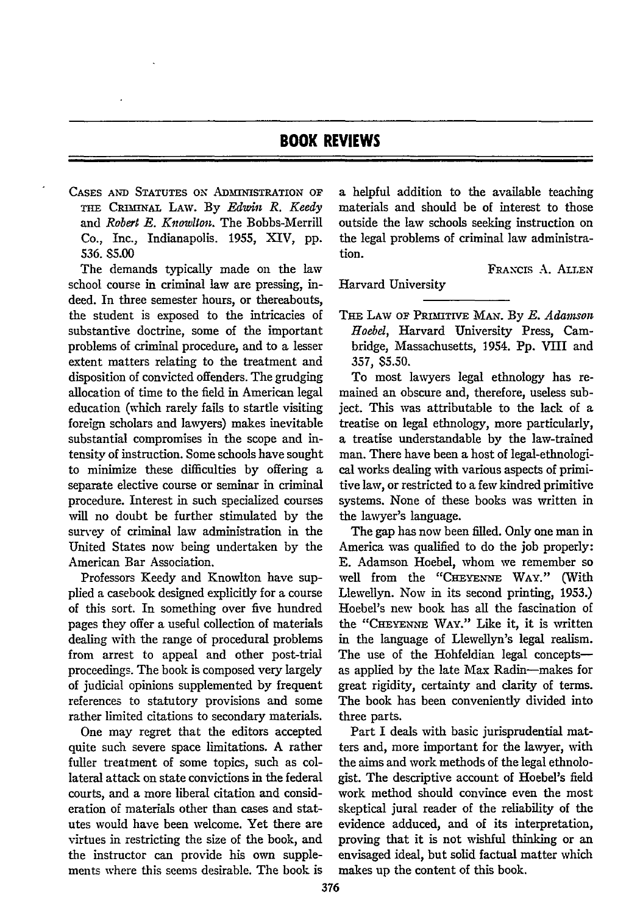CASES **AND** STATUTES **ON\** ADMINISTRATION OF **TIE CRIxINAL** LAW. By *Edwin R. Keedy* and *Robert E. Knowlton.* The Bobbs-Merrill Co., Inc., Indianapolis. 1955, XIV, **pp. 536. S5.00**

The demands typically made on the law school course in criminal law are pressing, indeed. In three semester hours, or thereabouts, the student is exposed to the intricacies of substantive doctrine, some of the important problems of criminal procedure, and to a lesser extent matters relating to the treatment and disposition of convicted offenders. The grudging allocation of time to the field in American legal education (which rarely fails to startle visiting foreign scholars and lawyers) makes inevitable substantial compromises in the scope and intensity of instruction. Some schools have sought to minimize these difficulties by offering a separate elective course or seminar in criminal procedure. Interest in such specialized courses will no doubt be further stimulated by the survey of criminal law administration in the United States now being undertaken by the American Bar Association.

Professors Keedy and Knowlton have supplied a casebook designed explicitly for a course of this sort. In something over five hundred pages they offer a useful collection of materials dealing with the range of procedural problems from arrest to appeal and other post-trial proceedings. The book is composed very largely of judicial opinions supplemented by frequent references to statutory provisions and some rather limited citations to secondary materials.

One may regret that the editors accepted quite such severe space limitations. **A** rather fuller treatment of some topics, such as collateral attack on state convictions in the federal courts, and a more liberal citation and consideration of materials other than cases and statutes would have been welcome. Yet there are virtues in restricting the size of the book, and the instructor can provide his own supplements where this seems desirable. The book is

a helpful addition to the available teaching materials and should be of interest to those outside the law schools seeking instruction on the legal problems of criminal law administration.

**FRANCIS A. ALLEN**

Harvard University

THE **LAW** OF **PRIMTrVE** MAi. By *E. Adamson Hoebel,* Harvard University Press, Cambridge, Massachusetts, 1954. **Pp.** VIII and 357, \$5.50.

To most lawyers legal ethnology has remained an obscure and, therefore, useless subject. This was attributable to the lack of a treatise on legal ethnology, more particularly, a treatise understandable by the law-trained man. There have been a host of legal-ethnological works dealing with various aspects of primitive law, or restricted to a few kindred primitive systems. None of these books was written in the lawyer's language.

The gap has now been filled. Only one man in America was qualified to do the job properly: E. Adamson Hoebel, whom we remember so well from the "CHEYENNE WAY." (With Llewellyn. Now in its second printing, 1953.) Hoebel's new book has all the fascination of the "CHEYENNE WAY." Like it, it is written in the language of Llewellyn's legal realism. The use of the Hohfeldian legal conceptsas applied by the late Max Radin-makes for great rigidity, certainty and clarity of terms. The book has been conveniently divided into three parts.

Part I deals with basic jurisprudential matters and, more important for the lawyer, with the aims and work methods of the legal ethnologist. The descriptive account of Hoebel's field work method should convince even the most skeptical jural reader of the reliability of the evidence adduced, and of its interpretation, proving that it is not wishful thinking or an envisaged ideal, but solid factual matter which makes up the content of this book.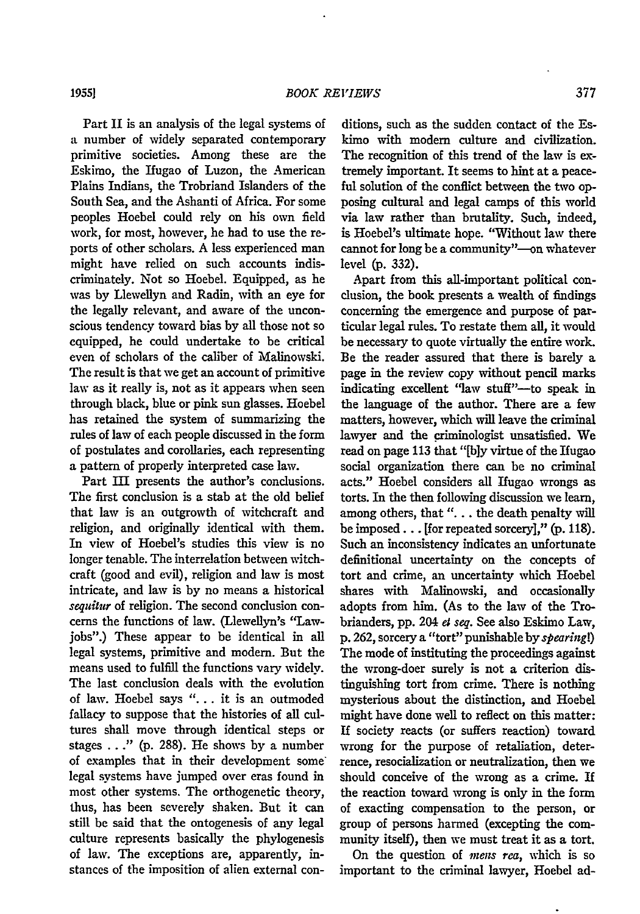Part II is an analysis of the legal systems of a number of widely separated contemporary primitive societies. Among these are the Eskimo, the Ifugao of Luzon, the American Plains Indians, the Trobriand Islanders of the South Sea, and the Ashanti of Africa. For some peoples Hoebel could rely on his own field work, for most, however, he had to use the reports of other scholars. A less experienced man might have relied on such accounts indiscriminately. Not so Hoebel. Equipped, as he was by Llewellyn and Radin, with an eye for the legally relevant, and aware of the unconscious tendency toward bias by all those not so equipped, he could undertake to be critical even of scholars of the caliber of Malinowski. The result is that we get an account of primitive law as it really is, not as it appears when seen through black, blue or pink sun glasses. Hoebel has retained the system of summarizing the rules of law of each people discussed in the form of postulates and corollaries, each representing a pattern of properly interpreted case law.

Part III presents the author's conclusions. The first conclusion is a stab at the old belief that law is an outgrowth of witchcraft and religion, and originally identical with them. In view of Hoebel's studies this view is no longer tenable. The interrelation between witchcraft (good and evil), religion and law is most intricate, and law is by no means a historical *sequitur* of religion. The second conclusion concerns the functions of law. (Llewellyn's "Lawjobs".) These appear to be identical in all legal systems, primitive and modem. But the means used to fulfill the functions vary widely. The last conclusion deals with the evolution of law. Hoebel says *"....* it is an outmoded fallacy to suppose that the histories of all cultures shall move through identical steps or stages . **.** ." (p. 288). He shows by a number of examples that in their development some' legal systems have jumped over eras found in most other systems. The orthogenetic theory, thus, has been severely shaken. But it can still be said that the ontogenesis of any legal culture represents basically the phylogenesis of law. The exceptions are, apparently, instances of the imposition of alien external con-

ditions, such as the sudden contact of the Eskimo with modem culture and civilization. The recognition of this trend of the law is extremely important. It seems to hint at a peaceful solution of the conflict between the two opposing cultural and legal camps of this world via law rather than brutality. Such, indeed, is Hoebel's ultimate hope. "Without law there cannot for long be a community"-on whatever level (p. 332).

Apart from this all-important political conclusion, the book presents a wealth of findings concerning the emergence and purpose of particular legal rules. To restate them all, it would be necessary to quote virtually the entire work. Be the reader assured that there is barely a page in the review copy without pencil marks indicating excellent "law stuff"-to speak in the language of the author. There are a few matters, however, which will leave the criminal lawyer and the criminologist unsatisfied. We read on page 113 that "[b]y virtue of the Ifugao social organization there can be no criminal acts." Hoebel considers all Ifugao wrongs as torts. In the then following discussion we learn, among others, that **". .** . the death penalty will be imposed... [for repeated sorcery]," (p. 118). Such an inconsistency indicates an unfortunate definitional uncertainty on the concepts of tort and crime, an uncertainty which Hoebel shares with Malinowski, and occasionally adopts from him. (As to the law of the Trobrianders, **pp.** 204 *el seq.* See also Eskimo Law, **p.** 262, sorcery a "tort" punishable by *spearing!)* The mode of instituting the proceedings against the wrong-doer surely is not a criterion distinguishing tort from crime. There is nothing mysterious about the distinction, and Hoebel might have done well to reflect on this matter: **If** society reacts (or suffers reaction) toward wrong for the purpose of retaliation, deterrence, resocialization or neutralization, then we should conceive of the wrong as a crime. **If** the reaction toward wrong is only in the form of exacting compensation to the person, or group of persons harmed (excepting the community itself), then we must treat it as a tort.

On the question of inens *rea,* which is so important to the criminal lawyer, Hoebel ad-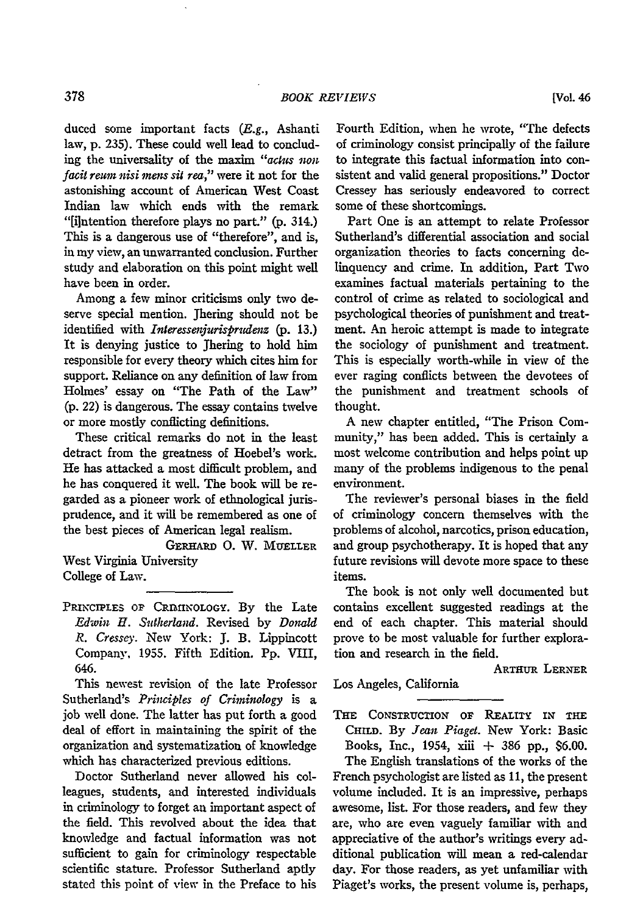duced some important facts (E.g., Ashanti law, **p.** 235). These could well lead to concluding the universality of the maxim *"actus wn facir reum nisi mens sit rea,"* were it not for the astonishing account of American West Coast Indian law which ends with the remark "[ilntention therefore plays no part." (p. 314.) This is a dangerous use of "therefore", and is, in my view, an unwarranted conclusion. Further study and elaboration on this point might well have been in order.

Among a few minor criticisms only two deserve special mention. Jhering should not be identified with *Interessenjurispridenz (p.* 13.) It is denying justice to Jhering to hold him responsible for every theory which cites him for support. Reliance on any definition of law from Holmes' essay on "The Path of the Law" (p. 22) is dangerous. The essay contains twelve or more mostly conflicting definitions.

These critical remarks do not in the least detract from the greatness of Hoebel's work. He has attacked a most difficult problem, and he has conquered it well. The book will be regarded as a pioneer work of ethnological jurisprudence, and it will be remembered as one of the best pieces of American legal realism.

**GERHARD 0.** W. **MUELLER** West Virginia University College of Law.

PRINCIPLES OF CRIMINOLOGY. By the Late *Edwin H. Sutherland.* Revised by *Donald R. Cressey.* New York: J. B. Lippincott Company, 1955. Fifth Edition. Pp. VIII, 646.

This newest revision of the late Professor Sutherland's *Principles of Criminology* is a job well done. The latter has put forth a good deal of effort in maintaining the spirit of the organization and systematization of knowledge which has characterized previous editions.

Doctor Sutherland never allowed his colleagues, students, and interested individuals in criminology to forget an important aspect of the field. This revolved about the idea that knowledge and factual information was not sufficient to gain for criminology respectable scientific stature. Professor Sutherland aptly stated this point of view in the Preface to his

Fourth Edition, when he wrote, "The defects of criminology consist principally of the failure to integrate this factual information into consistent and valid general propositions." Doctor Cressey has seriously endeavored to correct some of these shortcomings.

Part One is an attempt to relate Professor Sutherland's differential association and social organization theories to facts concerning delinquency and crime. In addition, Part Two examines factual materials pertaining to the control of crime as related to sociological and psychological theories of punishment and treatment. An heroic attempt is made to integrate the sociology of punishment and treatment. This is especially worth-while in view of the ever raging conflicts between the devotees of the punishment and treatment schools of thought.

A new chapter entitled, "The Prison Community," has been added. This is certainly a most welcome contribution and helps point up many of the problems indigenous to the penal environment.

The reviewer's personal biases in the field of criminology concern themselves with the problems of alcohol, narcotics, prison education, and group psychotherapy. It is hoped that any future revisions will devote more space to these items.

The book is not only well documented but contains excellent suggested readings at the end of each chapter. This material should prove to be most valuable for further exploration and research in the field.

ARTHUR **LERNER**

## Los Angeles, California

THE CONSTRUCTION Or REALITY IN **THE CHILD. By** *Jean Piaget.* New York: Basic Books, Inc., 1954, xiii **+ 386** pp., **\$6.00.** The English translations of the works of the French psychologist are listed as 11, the present volume included. It is an impressive, perhaps awesome, list. For those readers, and few they are, who are even vaguely familiar with and appreciative of the author's writings every additional publication will mean a red-calendar day. For those readers, as yet unfamiliar with Piaget's works, the present volume is, perhaps,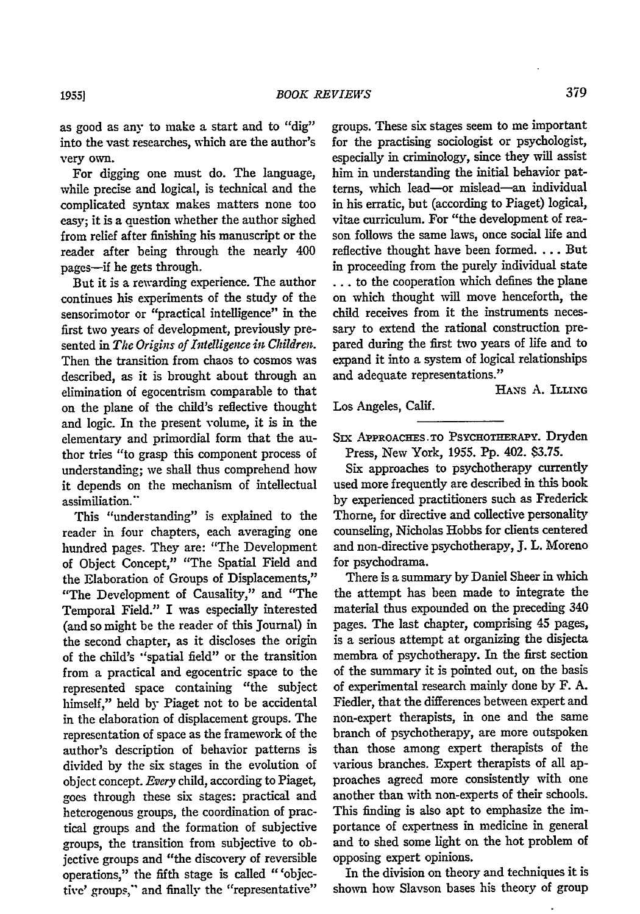as good as any to make a start and to "dig" into the vast researches, which are the author's very own.

For digging one must do. The language, while precise and logical, is technical and the complicated syntax makes matters none too easy; it is a question whether the author sighed from relief after finishing his manuscript or the reader after being through the nearly 400 pages-if he gets through.

But it is a rewarding experience. The author continues his experiments of the study of the sensorimotor or "practical intelligence" in the first two years of development, previously presented in *The Origins of Intelligence in Children.* Then the transition from chaos to cosmos was described, as it is brought about through an elimination of egocentrism comparable to that on the plane of the child's reflective thought and logic. In the present volume, it is in the elementary and primordial form that the author tries "to grasp this component process of understanding; we shall thus comprehend how it depends on the mechanism of intellectual assimiliation.'"

This "understanding" is explained to the reader in four chapters, each averaging one hundred pages. They are: "The Development of Object Concept," "The Spatial Field and the Elaboration of Groups of Displacements," "The Development of Causality," and "The Temporal Field." I was especially interested (and so might be the reader of this Journal) in the second chapter, as it discloses the origin of the child's "spatial field" or the transition from a practical and egocentric space to the represented space containing "the subject himself," held by Piaget not to be accidental in the elaboration of displacement groups. The representation of space as the framework of the author's description of behavior patterns is divided **by** the six stages in the evolution of object concept. *Every* child, according to Piaget, goes through these six stages: practical and heterogenous groups, the coordination of practical groups and the formation of subjective groups, the transition from subjective to objective groups and "the discovery of reversible operations," the fifth stage is called "'objective' groups," and finally the "representative" groups. These six stages seem to me important for the practising sociologist or psychologist, especially in criminology, since they will assist him in understanding the initial behavior patterns, which lead-or mislead-an individual in his erratic, but (according to Piaget) logical, vitae curriculum. For "the development of reason follows the same laws, once social life and reflective thought have been formed. ... But in proceeding from the purely individual state **...** to the cooperation which defines the plane on which thought will move henceforth, the child receives from it the instruments necessary to extend the rational construction prepared during the first two years of life and to expand it into a system of logical relationships and adequate representations."

HANS **A. ILLING**

Los Angeles, Calif.

SIX APPROACHES.TO PSYCHOTHERAPY. Dryden Press, New York, 1955. Pp. 402. \$3.75.

Six approaches to psychotherapy currently used more frequently are described in this book by experienced practitioners such as Frederick Thorne, for directive and collective personality counseling, Nicholas Hobbs for clients centered and non-directive psychotherapy, J. L. Moreno for psychodrama.

There is a summary by Daniel Sheer in which the attempt has been made to integrate the material thus expounded on the preceding 340 pages. The last chapter, comprising 45 pages, is a serious attempt at organizing the disjecta membra of psychotherapy. In the first section of the summary it is pointed out, on the basis of experimental research mainly done by F. A. Fiedler, that the differences between expert and non-expert therapists, in one and the same branch of psychotherapy, are more outspoken than those among expert therapists of the various branches. Expert therapists of all approaches agreed more consistently with one another than with non-experts of their schools. This finding is also apt to emphasize the importance of expertness in medicine in general and to shed some light on the hot problem of opposing expert opinions.

In the division on theory and techniques it is shown how Slavson bases his theory of group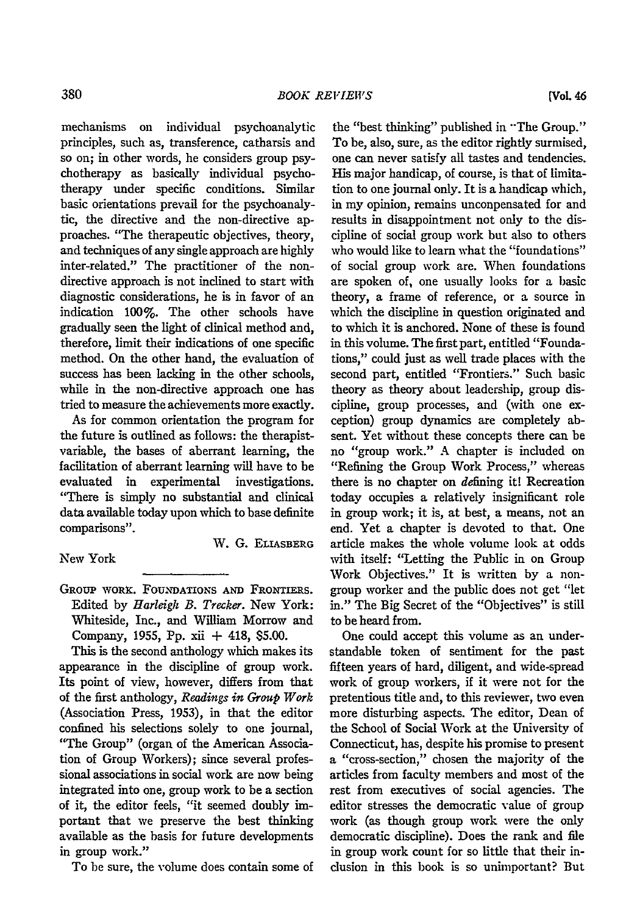mechanisms on individual psychoanalytic principles, such as, transference, catharsis and so on; in other words, he considers group psychotherapy as basically individual psychotherapy under specific conditions. Similar basic orientations prevail for the psychoanalytic, the directive and the non-directive approaches. "The therapeutic objectives, theory, and techniques of any single approach are **highly** inter-related." The practitioner of the nondirective approach is not inclined to start with diagnostic considerations, he is in favor of an indication 100%. The other schools have gradually seen the light of clinical method and, therefore, limit their indications of one specific method. On the other hand, the evaluation of success has been lacking in the other schools, while in the non-directive approach one has

As for common orientation the program for the future is outlined as follows: the therapistvariable, the bases of aberrant learning, the facilitation of aberrant learning will have to be evaluated in experimental investigations. "There is simply no substantial and clinical data available today upon which to base definite comparisons".

W. G. **ELiASBERG**

tried to measure the achievements more exactly.

New York

GROUP WORK. FOUNDATIONS AND FRONTIERS. Edited by *Harleigh B. Trecker.* New York: Whiteside, Inc., and William Morrow and Company, 1955, **Pp.** xii + 418, \$5.00.

This is the second anthology which makes its appearance in the discipline of group work. Its point of view, however, differs from that of the first anthology, *Readings in Group Work* (Association Press, 1953), in that the editor confined his selections solely to one journal, "The Group" (organ of the American Association of Group Workers); since several professional associations in social work are now being integrated into one, group work to be a section of it, the editor feels, "it seemed doubly important that we preserve the best thinking available as the basis for future developments in group work."

To be sure, the volume does contain some of

the "best thinking" published in "The Group." To be, also, sure, as the editor rightly surmised, one can never satisfy all tastes and tendencies. His major handicap, of course, is that of limitation to one journal only. It is a handicap which, in my opinion, remains unconpensated for and results in disappointment not only to the discipline of social group work but also to others who would like to learn what the "foundations" of social group work are. When foundations are spoken of, one usually looks for a basic theory, a frame of reference, or a source in which the discipline in question originated and to which it is anchored. None of these is found in this volume. The first part, entitled "Foundations," could just as well trade places with the second part, entitled "Frontiers." Such basic theory as theory about leadership, group discipline, group processes, and (with one exception) group dynamics are completely absent. Yet without these concepts there can be no "group work." A chapter is included on "Refining the Group Work Process," whereas there is no chapter on defining it! Recreation today occupies a relatively insignificant role in group work; it is, at best, a means, not an end. Yet a chapter is devoted to that. One article makes the whole volume look at odds with itself: "Letting the Public in on Group Work Objectives." It is written by a nongroup worker and the public does not get "let in." The Big Secret of the "Objectives" is still to be heard from.

One could accept this volume as an understandable token of sentiment for the past fifteen years of hard, diligent, and wide-spread work of group workers, if it were not for the pretentious title and, to this reviewer, two even more disturbing aspects. The editor, Dean of the School of Social Work at the University of Connecticut, has, despite his promise to present a "cross-section," chosen the majority of the articles from faculty members and most of the rest from executives of social agencies. The editor stresses the democratic value of group work (as though group work were the only democratic discipline). Does the rank and file in group work count for so little that their inclusion in this book is so unimportant? But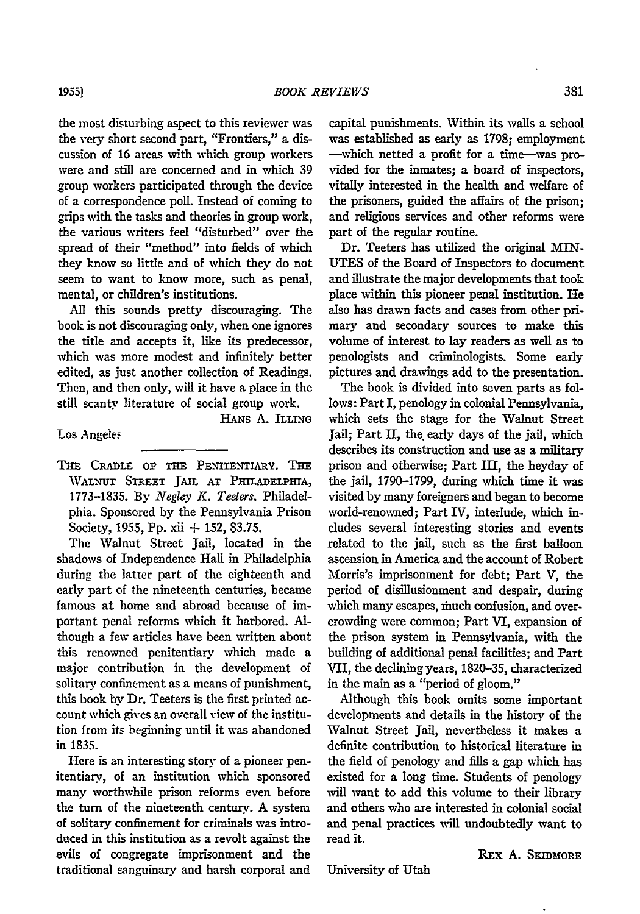the most disturbing aspect to this reviewer was the very short second part, "Frontiers," a discussion of 16 areas with which group workers were and still are concerned and in which 39 group workers participated through the device of a correspondence poll. Instead of coming to grips with the tasks and theories in group work, the various writers feel "disturbed" over the spread of their "method" into fields of which they know so little and of which they do not seem to want to know more, such as penal, mental, or children's institutions.

All this sounds pretty discouraging. The book is not discouraging only, when one ignores the title and accepts it, like its predecessor, which was more modest and infinitely better edited, as just another collection of Readings. Then, and then only, will it have a place in the still scanty literature of social group work.

Los Angeles

**HANS A. ILLING** 

THE CRADLE OF THE PENITENTIARY. THE **VALNUT STREET** JAIL **AT PHILADELPHIA,** 1773-1835. **By** *Negley K. Teeers.* Philadelphia. Sponsored by the Pennsylvania Prison Society, 1955, Pp. xii **+** 152, \$3.75.

The Walnut Street Jail, located in the shadows of Independence Hall in Philadelphia during the latter part of the eighteenth and early part of the nineteenth centuries, became famous at home and abroad because of important penal reforms which it harbored. Although a few articles have been written about this renowned penitentiary which made a major contribution in the development of solitary confinement as a means of punishment, this book by Dr. Teeters is the first printed account which gives an overall view of the institution from its beginning until it was abandoned in 1835.

Here is an interesting story of a pioneer penitentiary, of an institution which sponsored many worthwhile prison reforms even before the turn of the nineteenth century. A system of solitary confinement for criminals was introduced in this institution as a revolt against the evils of congregate imprisonment and the traditional sanguinary and harsh corporal and capital punishments. Within its walls a school was established as early as 1798; employment --which netted a profit for a time-was provided for the inmates; a board of inspectors, vitally interested in the health and welfare of the prisoners, guided the affairs of the prison; and religious services and other reforms were part of the regular routine.

Dr. Teeters has utilized the original MIN-UTES of the Board of Inspectors to document and illustrate the major developments that took place within this pioneer penal institution. He also has drawn facts and cases from other primary and secondary sources to make this volume of interest to lay readers as well as to penologists and criminologists. Some early pictures and drawings add to the presentation.

The book is divided into seven parts as follows: Part I, penology in colonial Pennsylvania, which sets the stage for the Walnut Street Jail; Part II, the early days of the jail, which describes its construction and use as a military prison and otherwise; Part III, the heyday of the jail, 1790-1799, during which time it was visited by many foreigners and began to become world-renowned; Part IV, interlude, which includes several interesting stories and events related to the jail, such as the first balloon ascension in America and the account of Robert Morris's imprisonment for debt; Part V, the period of disillusionment and despair, during which many escapes, fiuch confusion, and overcrowding were common; Part VI, expansion of the prison system in Pennsylvania, with the building of additional penal facilities; and Part VII, the declining years, 1820-35, characterized in the main as a "period of gloom."

Although this book omits some important developments and details in the history of the Walnut Street jail, nevertheless it makes a definite contribution to historical literature in the field of penology and fills a gap which has existed for a long time. Students of penology will want to add this volume to their library and others who are interested in colonial social and penal practices will undoubtedly want to read it.

University of Utah

**REx** A. **SKIDMORE**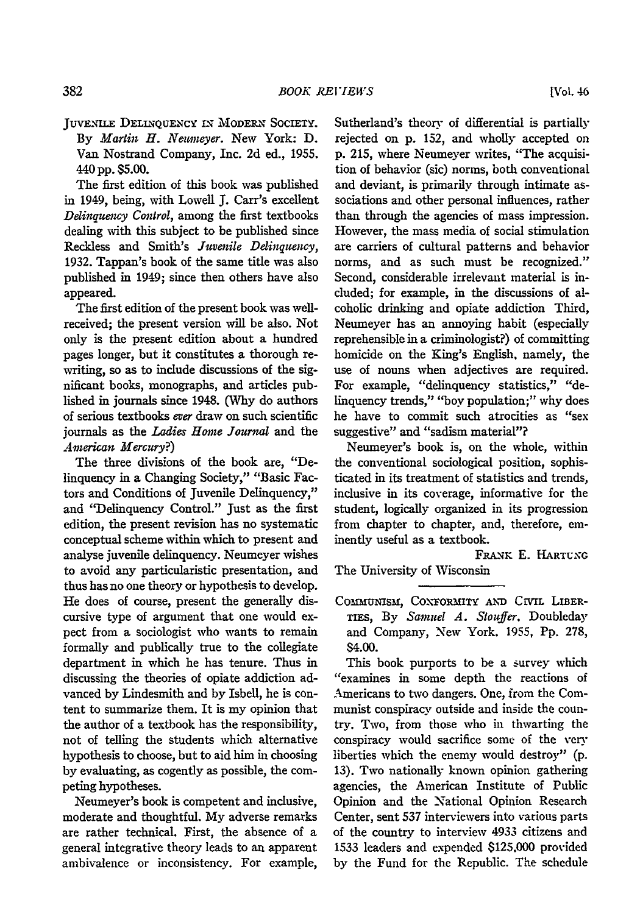**JUVENILE** DELINQUENCY **IN** MODERN **SOCIETY. By** *Martin H. Neumeyer.* New York: **D.** Van Nostrand Company, Inc. 2d ed., **1955.** 440 **pp. \$5. <sup>00</sup> .**

The first edition of this book was published in 1949, being, with Lowell J. Carr's excellent *Delinqucy Control,* among the first textbooks dealing with this subject to be published since Reckless and Smith's *Juvenile Delinquency,* **1932.** Tappan's book of the same title was also published in 1949; since then others have also appeared.

The first edition of the present book was wellreceived; the present version will be also. Not only is the present edition about a hundred pages longer, but it constitutes a thorough rewriting, so as to include discussions of the significant books, monographs, and articles published in journals since 1948. **(Why** do authors of serious textbooks *ever* draw on such scientific journals as the *Ladies Home Journal* and the *American Mercury?)*

The three divisions of the book are, "Delinquency in a Changing Society," "Basic Factors and Conditions of Juvenile Delinquency," and "Delinquency Control." Just as the first edition, the present revision has no systematic conceptual scheme within which to present and analyse juvenile delinquency. Neumeyer wishes to avoid any particularistic presentation, and thus has no one theory or hypothesis to develop. He does of course, present the generally discursive type of argument that one would expect from a sociologist who wants to remain formally and publically true to the collegiate department in which he has tenure. Thus in discussing the theories of opiate addiction advanced by Lindesmith and by Isbell, he is content to summarize them. It is my opinion that the author of a textbook has the responsibility, not of telling the students which alternative hypothesis to choose, but to aid him in choosing **by** evaluating, as cogently as possible, the competing hypotheses.

Neumeyer's book is competent and inclusive, moderate and thoughtful. My adverse remarks are rather technical. First, the absence of a general integrative theory leads to an apparent ambivalence or inconsistency. For example,

Sutherland's theory of differential is partially rejected on **p.** 152, and wholly accepted on p. 215, where Neumeyer writes, "The acquisition of behavior (sic) norms, both conventional and deviant, is primarily through intimate associations and other personal influences, rather than through the agencies of mass impression. However, the mass media of social stimulation are carriers of cultural patterns and behavior norms, and as such must be recognized." Second, considerable irrelevant material is included; for example, in the discussions of alcoholic drinking and opiate addiction Third, Neumeyer has an annoying habit (especially reprehensible in a criminologist?) of committing homicide on the King's English, namely, the use of nouns when adjectives are required. For example, "delinquency statistics," "delinquency trends," "boy population;" why does he have to commit such atrocities as "sex suggestive" and "sadism material"?

Neumeyer's book is, on the whole, within the conventional sociological position, sophisticated in its treatment of statistics and trends, inclusive in its coverage, informative for the student, logically organized in its progression from chapter to chapter, and, therefore, eminently useful as a textbook.

**FRANK E. HARTUNG**

The University of Wisconsin

COMMUNISM, COXFORMITY AND CIVIL LIBER-TiEs, By *Samuel A. Stouffer.* Doubleday and Company, New York. 1955, Pp. 278, \$4.00.

This book purports to be a survey which "examines in some depth the reactions of Americans to two dangers. One, from the Communist conspiracy outside and inside the country. Two, from those who in thwarting the conspiracy would sacrifice some of the very liberties which the enemy would destroy" (p. 13). Two nationally known opinion gathering agencies, the American Institute of Public Opinion and the National Opinion Research Center, sent 537 interviewers into various parts of the country to interview 4933 citizens and 1533 leaders and expended \$125.000 provided by the Fund for the Republic. The schedule